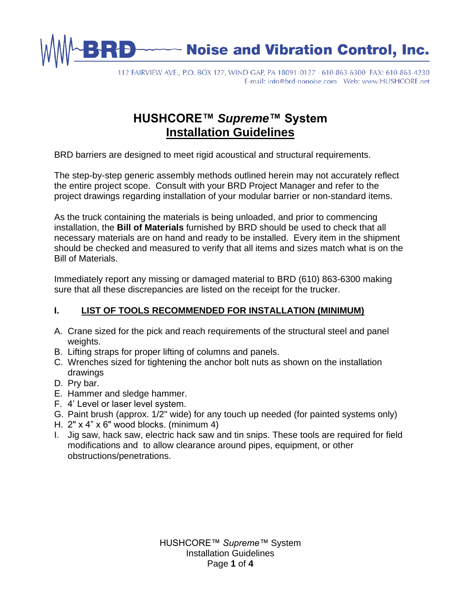

112 FAIRVIEW AVE., P.O. BOX 127, WIND GAP, PA 18091-0127 - 610-863-6300 FAX: 610-863-4230 

# **HUSHCORE™** *Supreme***™ System Installation Guidelines**

BRD barriers are designed to meet rigid acoustical and structural requirements.

The step-by-step generic assembly methods outlined herein may not accurately reflect the entire project scope. Consult with your BRD Project Manager and refer to the project drawings regarding installation of your modular barrier or non-standard items.

As the truck containing the materials is being unloaded, and prior to commencing installation, the **Bill of Materials** furnished by BRD should be used to check that all necessary materials are on hand and ready to be installed. Every item in the shipment should be checked and measured to verify that all items and sizes match what is on the Bill of Materials.

Immediately report any missing or damaged material to BRD (610) 863-6300 making sure that all these discrepancies are listed on the receipt for the trucker.

## **I. LIST OF TOOLS RECOMMENDED FOR INSTALLATION (MINIMUM)**

- A. Crane sized for the pick and reach requirements of the structural steel and panel weights.
- B. Lifting straps for proper lifting of columns and panels.
- C. Wrenches sized for tightening the anchor bolt nuts as shown on the installation drawings
- D. Pry bar.
- E. Hammer and sledge hammer.
- F. 4' Level or laser level system.
- G. Paint brush (approx. 1/2" wide) for any touch up needed (for painted systems only)
- H. 2" x 4" x 6" wood blocks. (minimum 4)
- I. Jig saw, hack saw, electric hack saw and tin snips. These tools are required for field modifications and to allow clearance around pipes, equipment, or other obstructions/penetrations.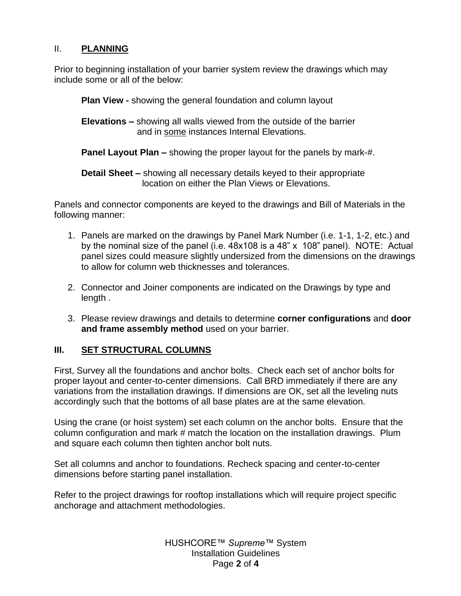#### II. **PLANNING**

Prior to beginning installation of your barrier system review the drawings which may include some or all of the below:

**Plan View -** showing the general foundation and column layout

**Elevations –** showing all walls viewed from the outside of the barrier and in some instances Internal Elevations.

**Panel Layout Plan –** showing the proper layout for the panels by mark-#.

**Detail Sheet –** showing all necessary details keyed to their appropriate location on either the Plan Views or Elevations.

Panels and connector components are keyed to the drawings and Bill of Materials in the following manner:

- 1. Panels are marked on the drawings by Panel Mark Number (i.e. 1-1, 1-2, etc.) and by the nominal size of the panel (i.e. 48x108 is a 48" x 108" panel). NOTE: Actual panel sizes could measure slightly undersized from the dimensions on the drawings to allow for column web thicknesses and tolerances.
- 2. Connector and Joiner components are indicated on the Drawings by type and length .
- 3. Please review drawings and details to determine **corner configurations** and **door and frame assembly method** used on your barrier.

#### **III. SET STRUCTURAL COLUMNS**

First, Survey all the foundations and anchor bolts. Check each set of anchor bolts for proper layout and center-to-center dimensions. Call BRD immediately if there are any variations from the installation drawings. If dimensions are OK, set all the leveling nuts accordingly such that the bottoms of all base plates are at the same elevation.

Using the crane (or hoist system) set each column on the anchor bolts. Ensure that the column configuration and mark # match the location on the installation drawings. Plum and square each column then tighten anchor bolt nuts.

Set all columns and anchor to foundations. Recheck spacing and center-to-center dimensions before starting panel installation.

Refer to the project drawings for rooftop installations which will require project specific anchorage and attachment methodologies.

> HUSHCORE™ *Supreme™* System Installation Guidelines Page **2** of **4**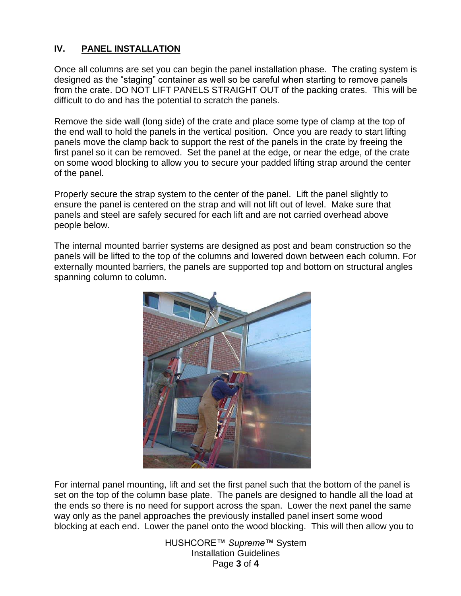#### **IV. PANEL INSTALLATION**

Once all columns are set you can begin the panel installation phase. The crating system is designed as the "staging" container as well so be careful when starting to remove panels from the crate. DO NOT LIFT PANELS STRAIGHT OUT of the packing crates. This will be difficult to do and has the potential to scratch the panels.

Remove the side wall (long side) of the crate and place some type of clamp at the top of the end wall to hold the panels in the vertical position. Once you are ready to start lifting panels move the clamp back to support the rest of the panels in the crate by freeing the first panel so it can be removed. Set the panel at the edge, or near the edge, of the crate on some wood blocking to allow you to secure your padded lifting strap around the center of the panel.

Properly secure the strap system to the center of the panel. Lift the panel slightly to ensure the panel is centered on the strap and will not lift out of level. Make sure that panels and steel are safely secured for each lift and are not carried overhead above people below.

The internal mounted barrier systems are designed as post and beam construction so the panels will be lifted to the top of the columns and lowered down between each column. For externally mounted barriers, the panels are supported top and bottom on structural angles spanning column to column.



For internal panel mounting, lift and set the first panel such that the bottom of the panel is set on the top of the column base plate. The panels are designed to handle all the load at the ends so there is no need for support across the span. Lower the next panel the same way only as the panel approaches the previously installed panel insert some wood blocking at each end. Lower the panel onto the wood blocking. This will then allow you to

> HUSHCORE™ *Supreme™* System Installation Guidelines Page **3** of **4**